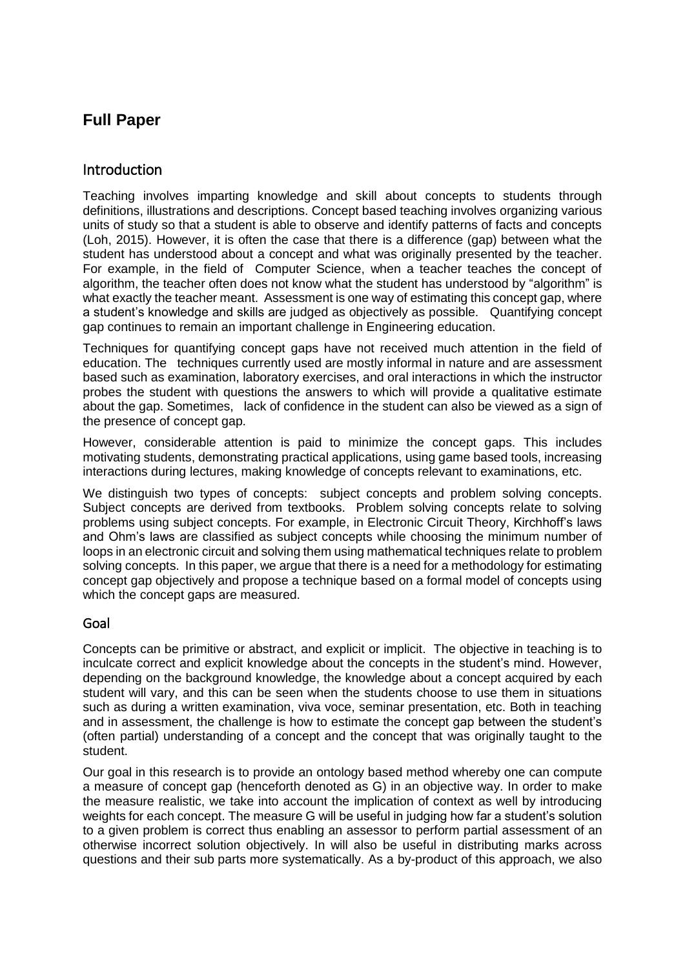# **Full Paper**

## Introduction

Teaching involves imparting knowledge and skill about concepts to students through definitions, illustrations and descriptions. Concept based teaching involves organizing various units of study so that a student is able to observe and identify patterns of facts and concepts (Loh, 2015). However, it is often the case that there is a difference (gap) between what the student has understood about a concept and what was originally presented by the teacher. For example, in the field of Computer Science, when a teacher teaches the concept of algorithm, the teacher often does not know what the student has understood by "algorithm" is what exactly the teacher meant. Assessment is one way of estimating this concept gap, where a student's knowledge and skills are judged as objectively as possible. Quantifying concept gap continues to remain an important challenge in Engineering education.

Techniques for quantifying concept gaps have not received much attention in the field of education. The techniques currently used are mostly informal in nature and are assessment based such as examination, laboratory exercises, and oral interactions in which the instructor probes the student with questions the answers to which will provide a qualitative estimate about the gap. Sometimes, lack of confidence in the student can also be viewed as a sign of the presence of concept gap.

However, considerable attention is paid to minimize the concept gaps. This includes motivating students, demonstrating practical applications, using game based tools, increasing interactions during lectures, making knowledge of concepts relevant to examinations, etc.

We distinguish two types of concepts: subject concepts and problem solving concepts. Subject concepts are derived from textbooks. Problem solving concepts relate to solving problems using subject concepts. For example, in Electronic Circuit Theory, Kirchhoff's laws and Ohm's laws are classified as subject concepts while choosing the minimum number of loops in an electronic circuit and solving them using mathematical techniques relate to problem solving concepts. In this paper, we argue that there is a need for a methodology for estimating concept gap objectively and propose a technique based on a formal model of concepts using which the concept gaps are measured.

## Goal

Concepts can be primitive or abstract, and explicit or implicit. The objective in teaching is to inculcate correct and explicit knowledge about the concepts in the student's mind. However, depending on the background knowledge, the knowledge about a concept acquired by each student will vary, and this can be seen when the students choose to use them in situations such as during a written examination, viva voce, seminar presentation, etc. Both in teaching and in assessment, the challenge is how to estimate the concept gap between the student's (often partial) understanding of a concept and the concept that was originally taught to the student.

Our goal in this research is to provide an ontology based method whereby one can compute a measure of concept gap (henceforth denoted as G) in an objective way. In order to make the measure realistic, we take into account the implication of context as well by introducing weights for each concept. The measure G will be useful in judging how far a student's solution to a given problem is correct thus enabling an assessor to perform partial assessment of an otherwise incorrect solution objectively. In will also be useful in distributing marks across questions and their sub parts more systematically. As a by-product of this approach, we also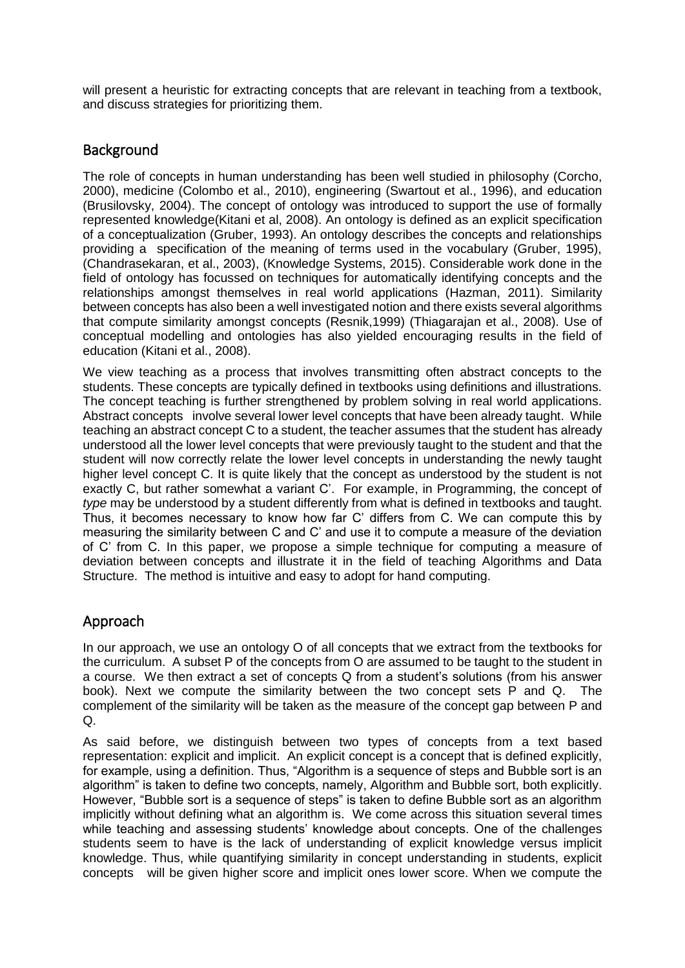will present a heuristic for extracting concepts that are relevant in teaching from a textbook, and discuss strategies for prioritizing them.

## **Background**

The role of concepts in human understanding has been well studied in philosophy (Corcho, 2000), medicine (Colombo et al., 2010), engineering (Swartout et al., 1996), and education (Brusilovsky, 2004). The concept of ontology was introduced to support the use of formally represented knowledge(Kitani et al, 2008). An ontology is defined as an explicit specification of a conceptualization (Gruber, 1993). An ontology describes the concepts and relationships providing a specification of the meaning of terms used in the vocabulary (Gruber, 1995), (Chandrasekaran, et al., 2003), (Knowledge Systems, 2015). Considerable work done in the field of ontology has focussed on techniques for automatically identifying concepts and the relationships amongst themselves in real world applications (Hazman, 2011). Similarity between concepts has also been a well investigated notion and there exists several algorithms that compute similarity amongst concepts (Resnik,1999) (Thiagarajan et al., 2008). Use of conceptual modelling and ontologies has also yielded encouraging results in the field of education (Kitani et al., 2008).

We view teaching as a process that involves transmitting often abstract concepts to the students. These concepts are typically defined in textbooks using definitions and illustrations. The concept teaching is further strengthened by problem solving in real world applications. Abstract concepts involve several lower level concepts that have been already taught. While teaching an abstract concept C to a student, the teacher assumes that the student has already understood all the lower level concepts that were previously taught to the student and that the student will now correctly relate the lower level concepts in understanding the newly taught higher level concept C. It is quite likely that the concept as understood by the student is not exactly C, but rather somewhat a variant C'. For example, in Programming, the concept of *type* may be understood by a student differently from what is defined in textbooks and taught. Thus, it becomes necessary to know how far C' differs from C. We can compute this by measuring the similarity between C and C' and use it to compute a measure of the deviation of C' from C. In this paper, we propose a simple technique for computing a measure of deviation between concepts and illustrate it in the field of teaching Algorithms and Data Structure. The method is intuitive and easy to adopt for hand computing.

# Approach

In our approach, we use an ontology O of all concepts that we extract from the textbooks for the curriculum. A subset P of the concepts from O are assumed to be taught to the student in a course. We then extract a set of concepts Q from a student's solutions (from his answer book). Next we compute the similarity between the two concept sets P and Q. The complement of the similarity will be taken as the measure of the concept gap between P and Q.

As said before, we distinguish between two types of concepts from a text based representation: explicit and implicit. An explicit concept is a concept that is defined explicitly, for example, using a definition. Thus, "Algorithm is a sequence of steps and Bubble sort is an algorithm" is taken to define two concepts, namely, Algorithm and Bubble sort, both explicitly. However, "Bubble sort is a sequence of steps" is taken to define Bubble sort as an algorithm implicitly without defining what an algorithm is. We come across this situation several times while teaching and assessing students' knowledge about concepts. One of the challenges students seem to have is the lack of understanding of explicit knowledge versus implicit knowledge. Thus, while quantifying similarity in concept understanding in students, explicit concepts will be given higher score and implicit ones lower score. When we compute the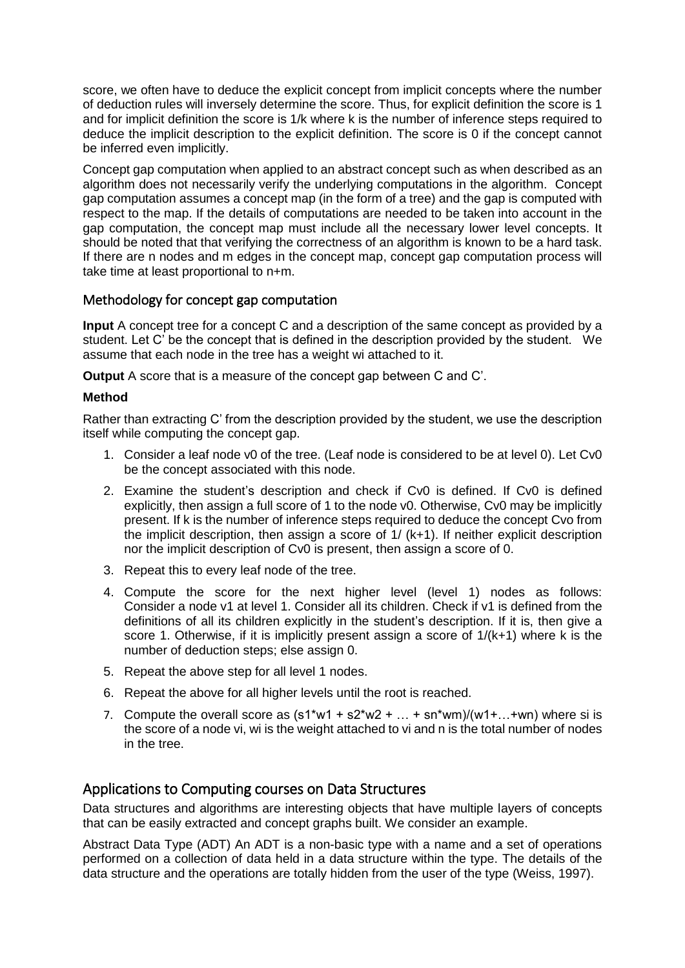score, we often have to deduce the explicit concept from implicit concepts where the number of deduction rules will inversely determine the score. Thus, for explicit definition the score is 1 and for implicit definition the score is 1/k where k is the number of inference steps required to deduce the implicit description to the explicit definition. The score is 0 if the concept cannot be inferred even implicitly.

Concept gap computation when applied to an abstract concept such as when described as an algorithm does not necessarily verify the underlying computations in the algorithm. Concept gap computation assumes a concept map (in the form of a tree) and the gap is computed with respect to the map. If the details of computations are needed to be taken into account in the gap computation, the concept map must include all the necessary lower level concepts. It should be noted that that verifying the correctness of an algorithm is known to be a hard task. If there are n nodes and m edges in the concept map, concept gap computation process will take time at least proportional to n+m.

## Methodology for concept gap computation

**Input** A concept tree for a concept C and a description of the same concept as provided by a student. Let C' be the concept that is defined in the description provided by the student. We assume that each node in the tree has a weight wi attached to it.

**Output** A score that is a measure of the concept gap between C and C'.

#### **Method**

Rather than extracting C' from the description provided by the student, we use the description itself while computing the concept gap.

- 1. Consider a leaf node v0 of the tree. (Leaf node is considered to be at level 0). Let Cv0 be the concept associated with this node.
- 2. Examine the student's description and check if Cv0 is defined. If Cv0 is defined explicitly, then assign a full score of 1 to the node v0. Otherwise, Cv0 may be implicitly present. If k is the number of inference steps required to deduce the concept Cvo from the implicit description, then assign a score of 1/ (k+1). If neither explicit description nor the implicit description of Cv0 is present, then assign a score of 0.
- 3. Repeat this to every leaf node of the tree.
- 4. Compute the score for the next higher level (level 1) nodes as follows: Consider a node v1 at level 1. Consider all its children. Check if v1 is defined from the definitions of all its children explicitly in the student's description. If it is, then give a score 1. Otherwise, if it is implicitly present assign a score of 1/(k+1) where k is the number of deduction steps; else assign 0.
- 5. Repeat the above step for all level 1 nodes.
- 6. Repeat the above for all higher levels until the root is reached.
- 7. Compute the overall score as  $(s1*w1 + s2*w2 + ... + sn*wm)/(w1+...+wn)$  where si is the score of a node vi, wi is the weight attached to vi and n is the total number of nodes in the tree.

## Applications to Computing courses on Data Structures

Data structures and algorithms are interesting objects that have multiple layers of concepts that can be easily extracted and concept graphs built. We consider an example.

Abstract Data Type (ADT) An ADT is a non-basic type with a name and a set of operations performed on a collection of data held in a data structure within the type. The details of the data structure and the operations are totally hidden from the user of the type (Weiss, 1997).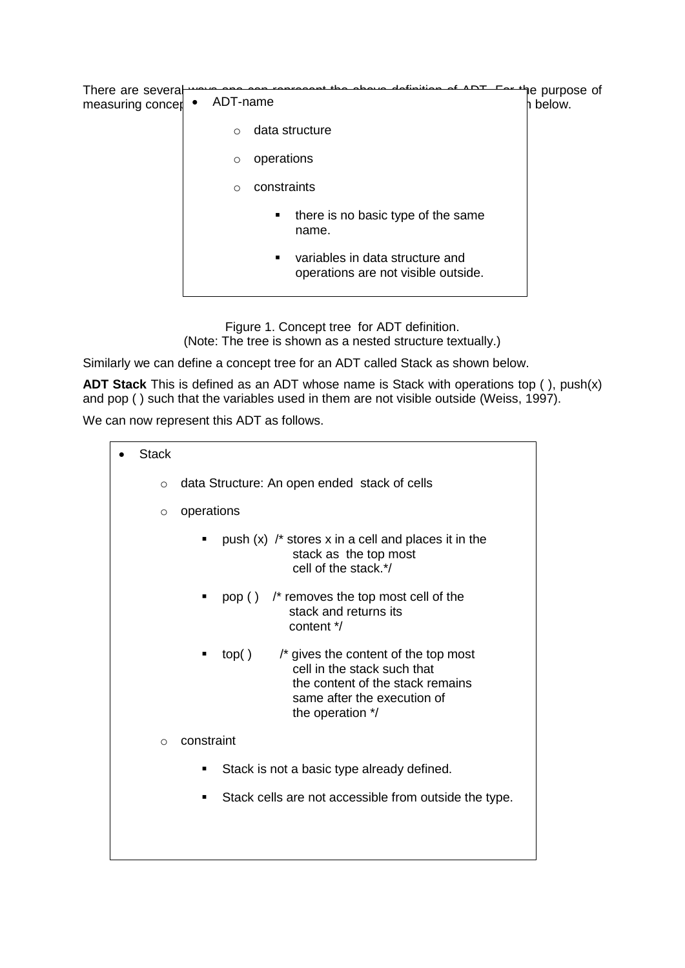| There are several<br>measuring concer | ADT-name |                                                                             | e purpose of <del>" "ר" "</del><br>below. |
|---------------------------------------|----------|-----------------------------------------------------------------------------|-------------------------------------------|
|                                       | $\Omega$ | data structure                                                              |                                           |
|                                       | $\circ$  | operations                                                                  |                                           |
|                                       | $\circ$  | constraints                                                                 |                                           |
|                                       |          | there is no basic type of the same<br>٠<br>name.                            |                                           |
|                                       |          | variables in data structure and<br>٠<br>operations are not visible outside. |                                           |

Figure 1. Concept tree for ADT definition. (Note: The tree is shown as a nested structure textually.)

Similarly we can define a concept tree for an ADT called Stack as shown below.

**ADT Stack** This is defined as an ADT whose name is Stack with operations top ( ), push(x) and pop ( ) such that the variables used in them are not visible outside (Weiss, 1997).

We can now represent this ADT as follows.

| <b>Stack</b> |         |                                                                                                                                                                           |  |  |  |  |  |
|--------------|---------|---------------------------------------------------------------------------------------------------------------------------------------------------------------------------|--|--|--|--|--|
|              | $\circ$ | data Structure: An open ended stack of cells                                                                                                                              |  |  |  |  |  |
|              | $\circ$ | operations                                                                                                                                                                |  |  |  |  |  |
|              |         | push $(x)$ /* stores x in a cell and places it in the<br>п<br>stack as the top most<br>cell of the stack.*/                                                               |  |  |  |  |  |
|              |         | pop () /* removes the top most cell of the<br>п<br>stack and returns its<br>content */                                                                                    |  |  |  |  |  |
|              |         | /* gives the content of the top most<br>top( )<br>п<br>cell in the stack such that<br>the content of the stack remains<br>same after the execution of<br>the operation */ |  |  |  |  |  |
|              | $\circ$ | constraint                                                                                                                                                                |  |  |  |  |  |
|              |         | Stack is not a basic type already defined.<br>■                                                                                                                           |  |  |  |  |  |
|              |         | Stack cells are not accessible from outside the type.<br>■                                                                                                                |  |  |  |  |  |
|              |         |                                                                                                                                                                           |  |  |  |  |  |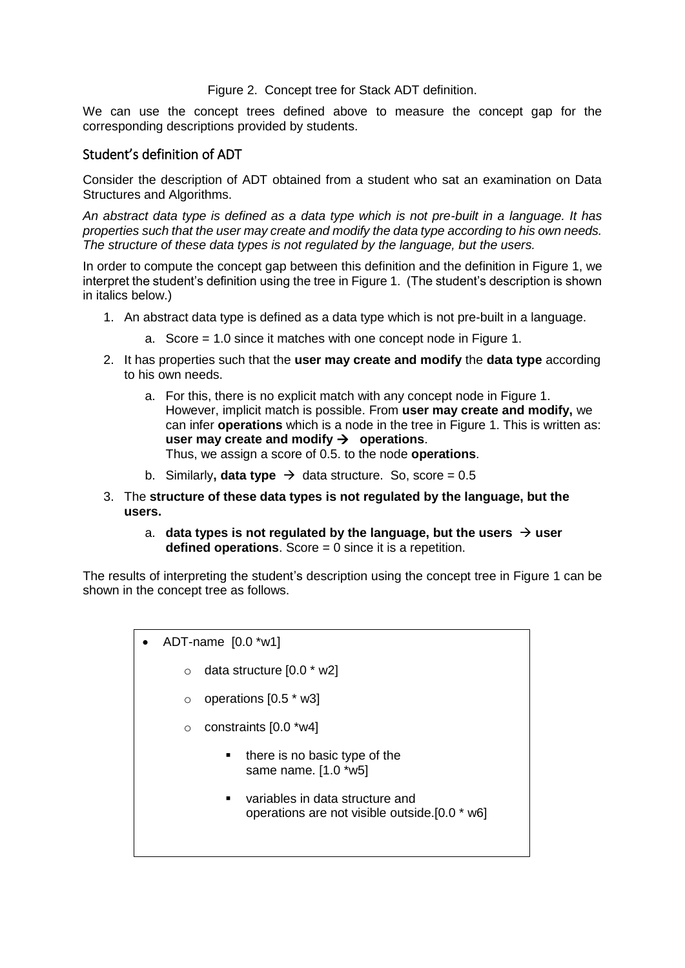#### Figure 2. Concept tree for Stack ADT definition.

We can use the concept trees defined above to measure the concept gap for the corresponding descriptions provided by students.

#### Student's definition of ADT

Consider the description of ADT obtained from a student who sat an examination on Data Structures and Algorithms.

*An abstract data type is defined as a data type which is not pre-built in a language. It has properties such that the user may create and modify the data type according to his own needs. The structure of these data types is not regulated by the language, but the users.*

In order to compute the concept gap between this definition and the definition in Figure 1, we interpret the student's definition using the tree in Figure 1. (The student's description is shown in italics below.)

- 1. An abstract data type is defined as a data type which is not pre-built in a language.
	- a. Score = 1.0 since it matches with one concept node in Figure 1.
- 2. It has properties such that the **user may create and modify** the **data type** according to his own needs.
	- a. For this, there is no explicit match with any concept node in Figure 1. However, implicit match is possible. From **user may create and modify,** we can infer **operations** which is a node in the tree in Figure 1. This is written as: **user may create and modify**  $\rightarrow$  **operations.** Thus, we assign a score of 0.5. to the node **operations**.
	- b. Similarly**, data type**  $\rightarrow$  data structure. So, score = 0.5
- 3. The **structure of these data types is not regulated by the language, but the users.**
	- a. **data types is not regulated by the language, but the users**  $\rightarrow$  **user defined operations**. Score = 0 since it is a repetition.

The results of interpreting the student's description using the concept tree in Figure 1 can be shown in the concept tree as follows.

- ADT-name [0.0 \*w1]
	- $\circ$  data structure  $[0.0 * w2]$
	- $\circ$  operations  $[0.5 * w3]$
	- $\circ$  constraints  $[0.0$  \*w4]
		- there is no basic type of the same name. [1.0 \*w5]
		- variables in data structure and operations are not visible outside.[0.0 \* w6]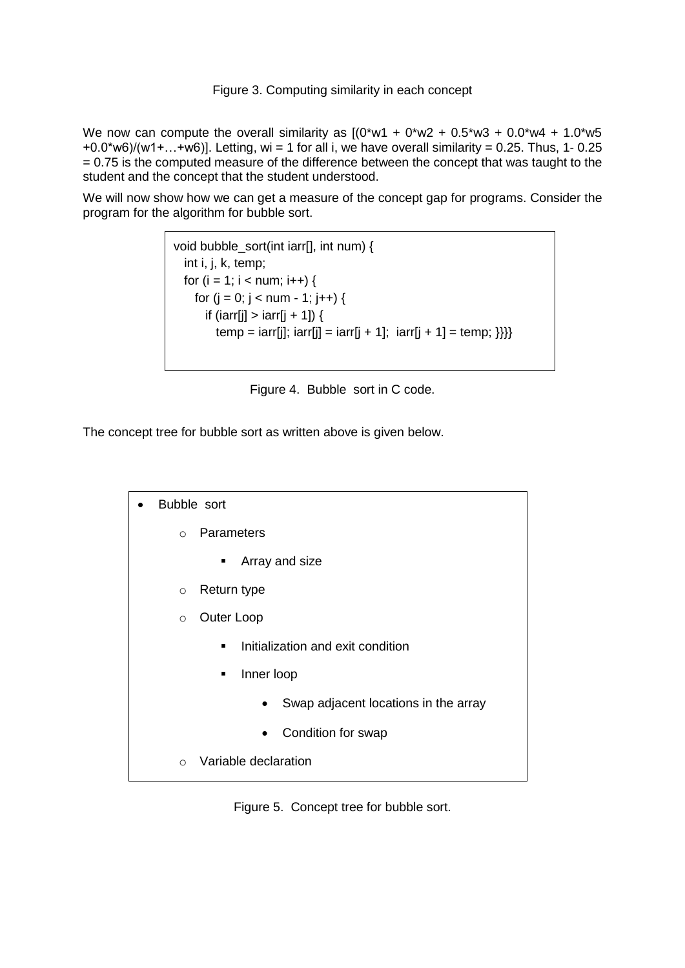#### Figure 3. Computing similarity in each concept

We now can compute the overall similarity as  $[(0^*w1 + 0^*w2 + 0.5^*w3 + 0.0^*w4 + 1.0^*w5$  $+0.0$ \*w6)/(w1+...+w6)]. Letting, wi = 1 for all i, we have overall similarity = 0.25. Thus, 1- 0.25 = 0.75 is the computed measure of the difference between the concept that was taught to the student and the concept that the student understood.

We will now show how we can get a measure of the concept gap for programs. Consider the program for the algorithm for bubble sort.

```
void bubble_sort(int iarr[], int num) {
   int i, j, k, temp;
  for (i = 1; i < num; i++) {
    for (j = 0; j < num - 1; j++) {
      if (iarr[j] > iarr[j + 1]) {
        temp = iarr[j]; iarr[j] = iarr[j + 1]; iarr[j + 1] = temp; \}}
```
Figure 4. Bubble sort in C code.

The concept tree for bubble sort as written above is given below.

| Bubble sort |                                                     |  |  |  |  |  |
|-------------|-----------------------------------------------------|--|--|--|--|--|
| $\Omega$    | Parameters                                          |  |  |  |  |  |
|             | Array and size                                      |  |  |  |  |  |
| $\circ$     | Return type                                         |  |  |  |  |  |
| $\circ$     | Outer Loop                                          |  |  |  |  |  |
|             | Initialization and exit condition<br>$\blacksquare$ |  |  |  |  |  |
|             | Inner loop<br>٠                                     |  |  |  |  |  |
|             | Swap adjacent locations in the array<br>$\bullet$   |  |  |  |  |  |
|             | Condition for swap<br>$\bullet$                     |  |  |  |  |  |
| $\Omega$    | Variable declaration                                |  |  |  |  |  |

Figure 5. Concept tree for bubble sort.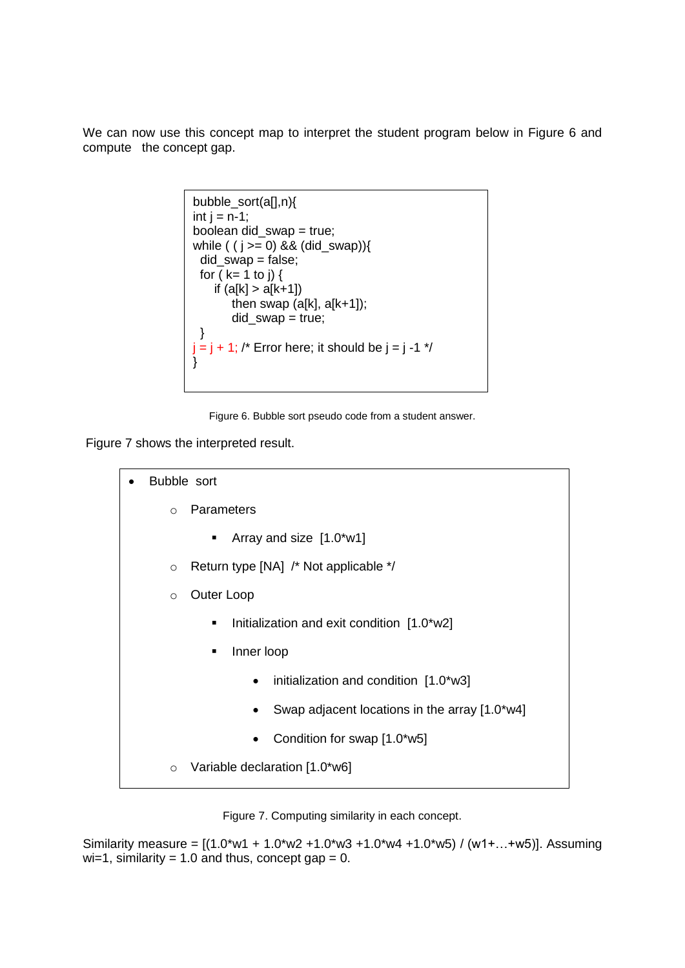We can now use this concept map to interpret the student program below in Figure 6 and compute the concept gap.

```
bubble_sort(a[],n){
int j = n-1;
boolean did_swap = true;
while ( (j \ge 0) && (did_swap)){
 did_swap = false;
 for (k= 1 to j) {
    if (a[k] > a[k+1])then swap (a[k], a[k+1]);
       did swap = true;
  }
j = j + 1; /* Error here; it should be j = j -1 */
}
```
Figure 6. Bubble sort pseudo code from a student answer.

Figure 7 shows the interpreted result.

| Bubble sort                                      |  |  |  |  |  |
|--------------------------------------------------|--|--|--|--|--|
| Parameters<br>$\circ$                            |  |  |  |  |  |
| Array and size [1.0*w1]<br>٠                     |  |  |  |  |  |
| Return type [NA] /* Not applicable */<br>$\circ$ |  |  |  |  |  |
| Outer Loop<br>$\circ$                            |  |  |  |  |  |
| Initialization and exit condition [1.0*w2]<br>٠  |  |  |  |  |  |
| Inner loop<br>٠                                  |  |  |  |  |  |
| initialization and condition [1.0*w3]            |  |  |  |  |  |
| Swap adjacent locations in the array [1.0*w4]    |  |  |  |  |  |
| Condition for swap [1.0*w5]                      |  |  |  |  |  |
| Variable declaration [1.0*w6]<br>$\circ$         |  |  |  |  |  |

Figure 7. Computing similarity in each concept.

Similarity measure =  $[(1.0*w1 + 1.0*w2 + 1.0*w3 + 1.0*w4 + 1.0*w5) / (w1 + ... + w5)]$ . Assuming  $wi=1$ , similarity = 1.0 and thus, concept gap = 0.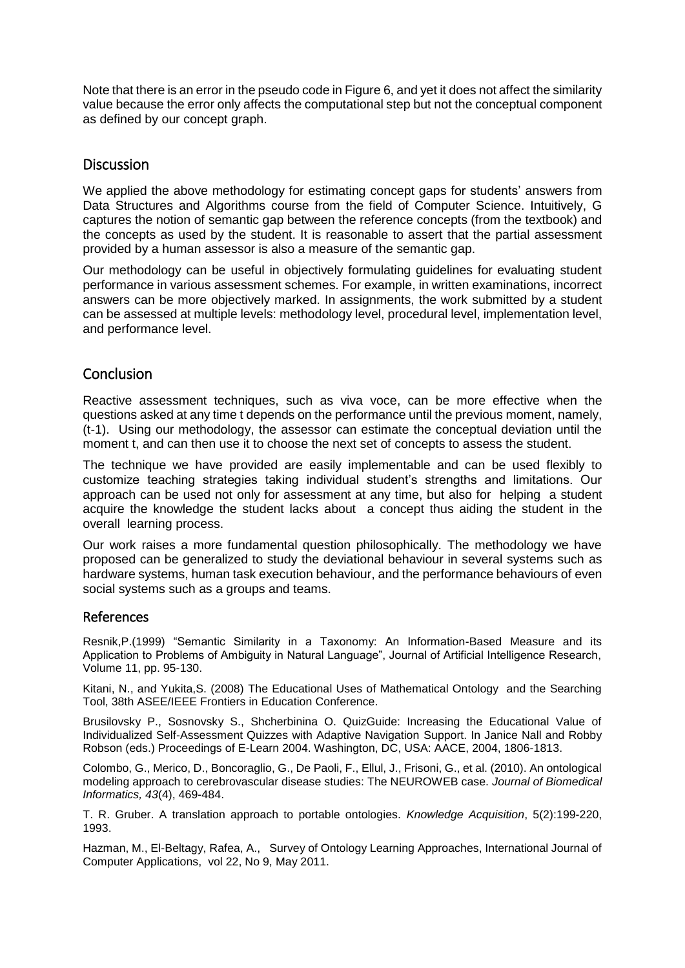Note that there is an error in the pseudo code in Figure 6, and yet it does not affect the similarity value because the error only affects the computational step but not the conceptual component as defined by our concept graph.

#### **Discussion**

We applied the above methodology for estimating concept gaps for students' answers from Data Structures and Algorithms course from the field of Computer Science. Intuitively, G captures the notion of semantic gap between the reference concepts (from the textbook) and the concepts as used by the student. It is reasonable to assert that the partial assessment provided by a human assessor is also a measure of the semantic gap.

Our methodology can be useful in objectively formulating guidelines for evaluating student performance in various assessment schemes. For example, in written examinations, incorrect answers can be more objectively marked. In assignments, the work submitted by a student can be assessed at multiple levels: methodology level, procedural level, implementation level, and performance level.

## Conclusion

Reactive assessment techniques, such as viva voce, can be more effective when the questions asked at any time t depends on the performance until the previous moment, namely, (t-1). Using our methodology, the assessor can estimate the conceptual deviation until the moment t, and can then use it to choose the next set of concepts to assess the student.

The technique we have provided are easily implementable and can be used flexibly to customize teaching strategies taking individual student's strengths and limitations. Our approach can be used not only for assessment at any time, but also for helping a student acquire the knowledge the student lacks about a concept thus aiding the student in the overall learning process.

Our work raises a more fundamental question philosophically. The methodology we have proposed can be generalized to study the deviational behaviour in several systems such as hardware systems, human task execution behaviour, and the performance behaviours of even social systems such as a groups and teams.

#### References

Resnik,P.(1999) "Semantic Similarity in a Taxonomy: An Information-Based Measure and its Application to Problems of Ambiguity in Natural Language", Journal of Artificial Intelligence Research, Volume 11, pp. 95-130.

Kitani, N., and Yukita,S. (2008) The Educational Uses of Mathematical Ontology and the Searching Tool, 38th ASEE/IEEE Frontiers in Education Conference.

Brusilovsky P., Sosnovsky S., Shcherbinina O. QuizGuide: Increasing the Educational Value of Individualized Self-Assessment Quizzes with Adaptive Navigation Support. In Janice Nall and Robby Robson (eds.) Proceedings of E-Learn 2004. Washington, DC, USA: AACE, 2004, 1806-1813.

Colombo, G., Merico, D., Boncoraglio, G., De Paoli, F., Ellul, J., Frisoni, G., et al. (2010). An ontological modeling approach to cerebrovascular disease studies: The NEUROWEB case. *Journal of Biomedical Informatics, 43*(4), 469-484.

T. R. Gruber. A translation approach to portable ontologies. *Knowledge Acquisition*, 5(2):199-220, 1993.

Hazman, M., El-Beltagy, Rafea, A., Survey of Ontology Learning Approaches, International Journal of Computer Applications, vol 22, No 9, May 2011.